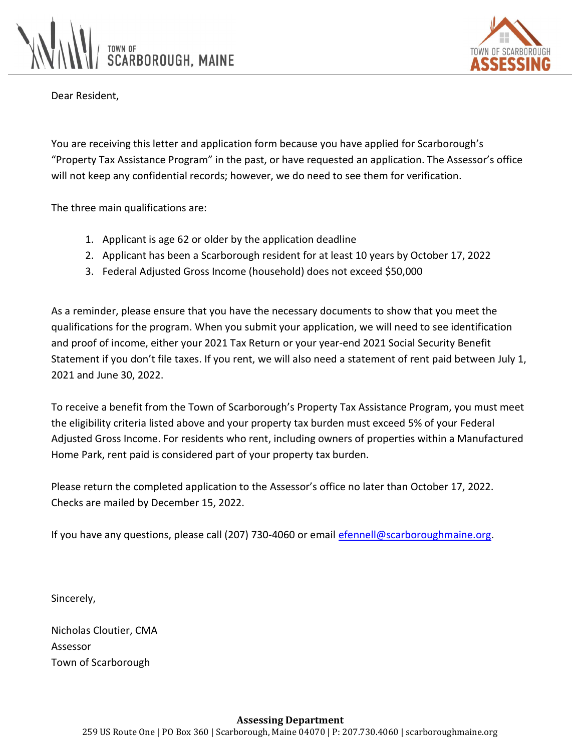



Dear Resident,

You are receiving this letter and application form because you have applied for Scarborough's "Property Tax Assistance Program" in the past, or have requested an application. The Assessor's office will not keep any confidential records; however, we do need to see them for verification.

The three main qualifications are:

- 1. Applicant is age 62 or older by the application deadline
- 2. Applicant has been a Scarborough resident for at least 10 years by October 17, 2022
- 3. Federal Adjusted Gross Income (household) does not exceed \$50,000

As a reminder, please ensure that you have the necessary documents to show that you meet the qualifications for the program. When you submit your application, we will need to see identification and proof of income, either your 2021 Tax Return or your year-end 2021 Social Security Benefit Statement if you don't file taxes. If you rent, we will also need a statement of rent paid between July 1, 2021 and June 30, 2022.

To receive a benefit from the Town of Scarborough's Property Tax Assistance Program, you must meet the eligibility criteria listed above and your property tax burden must exceed 5% of your Federal Adjusted Gross Income. For residents who rent, including owners of properties within a Manufactured Home Park, rent paid is considered part of your property tax burden.

Please return the completed application to the Assessor's office no later than October 17, 2022. Checks are mailed by December 15, 2022.

If you have any questions, please call (207) 730-4060 or email efennell@scarboroughmaine.org.

Sincerely,

Nicholas Cloutier, CMA Assessor Town of Scarborough